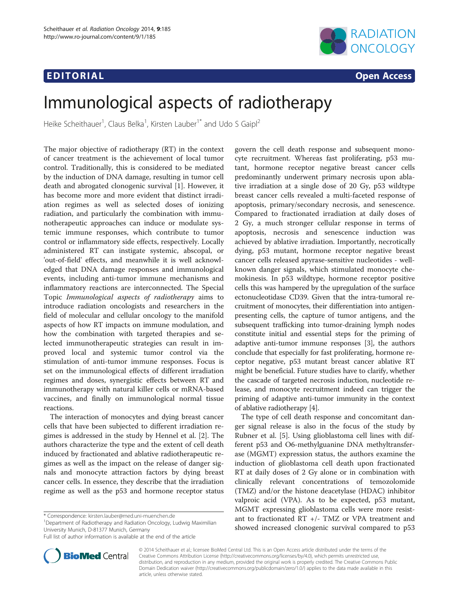## **EDITORIAL** CONTROL CONTROL CONTROL CONTROL CONTROL CONTROL CONTROL CONTROL CONTROL CONTROL CONTROL CONTROL CONTROL CONTROL CONTROL CONTROL CONTROL CONTROL CONTROL CONTROL CONTROL CONTROL CONTROL CONTROL CONTROL CONTROL CO



# Immunological aspects of radiotherapy

Heike Scheithauer<sup>1</sup>, Claus Belka<sup>1</sup>, Kirsten Lauber<sup>1\*</sup> and Udo S Gaipl<sup>2</sup>

The major objective of radiotherapy (RT) in the context of cancer treatment is the achievement of local tumor control. Traditionally, this is considered to be mediated by the induction of DNA damage, resulting in tumor cell death and abrogated clonogenic survival [[1\]](#page-3-0). However, it has become more and more evident that distinct irradiation regimes as well as selected doses of ionizing radiation, and particularly the combination with immunotherapeutic approaches can induce or modulate systemic immune responses, which contribute to tumor control or inflammatory side effects, respectively. Locally administered RT can instigate systemic, abscopal, or 'out-of-field' effects, and meanwhile it is well acknowledged that DNA damage responses and immunological events, including anti-tumor immune mechanisms and inflammatory reactions are interconnected. The Special Topic Immunological aspects of radiotherapy aims to introduce radiation oncologists and researchers in the field of molecular and cellular oncology to the manifold aspects of how RT impacts on immune modulation, and how the combination with targeted therapies and selected immunotherapeutic strategies can result in improved local and systemic tumor control via the stimulation of anti-tumor immune responses. Focus is set on the immunological effects of different irradiation regimes and doses, synergistic effects between RT and immunotherapy with natural killer cells or mRNA-based vaccines, and finally on immunological normal tissue reactions.

The interaction of monocytes and dying breast cancer cells that have been subjected to different irradiation regimes is addressed in the study by Hennel et al. [[2\]](#page-3-0). The authors characterize the type and the extent of cell death induced by fractionated and ablative radiotherapeutic regimes as well as the impact on the release of danger signals and monocyte attraction factors by dying breast cancer cells. In essence, they describe that the irradiation regime as well as the p53 and hormone receptor status

\* Correspondence: [kirsten.lauber@med.uni-muenchen.de](mailto:kirsten.lauber@med.uni-muenchen.de) <sup>1</sup>

<sup>1</sup>Department of Radiotherapy and Radiation Oncology, Ludwig Maximilian University Munich, D-81377 Munich, Germany



The type of cell death response and concomitant danger signal release is also in the focus of the study by Rubner et al. [[5\]](#page-3-0). Using glioblastoma cell lines with different p53 and O6-methylguanine DNA methyltransferase (MGMT) expression status, the authors examine the induction of glioblastoma cell death upon fractionated RT at daily doses of 2 Gy alone or in combination with clinically relevant concentrations of temozolomide (TMZ) and/or the histone deacetylase (HDAC) inhibitor valproic acid (VPA). As to be expected, p53 mutant, MGMT expressing glioblastoma cells were more resistant to fractionated RT +/- TMZ or VPA treatment and showed increased clonogenic survival compared to p53



© 2014 Scheithauer et al.; licensee BioMed Central Ltd. This is an Open Access article distributed under the terms of the Creative Commons Attribution License (<http://creativecommons.org/licenses/by/4.0>), which permits unrestricted use, distribution, and reproduction in any medium, provided the original work is properly credited. The Creative Commons Public Domain Dedication waiver [\(http://creativecommons.org/publicdomain/zero/1.0/\)](http://creativecommons.org/publicdomain/zero/1.0/) applies to the data made available in this article, unless otherwise stated.

Full list of author information is available at the end of the article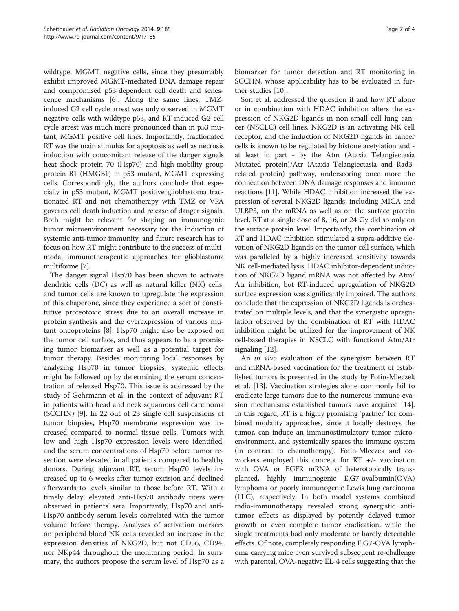wildtype, MGMT negative cells, since they presumably exhibit improved MGMT-mediated DNA damage repair and compromised p53-dependent cell death and senescence mechanisms [\[6](#page-3-0)]. Along the same lines, TMZinduced G2 cell cycle arrest was only observed in MGMT negative cells with wildtype p53, and RT-induced G2 cell cycle arrest was much more pronounced than in p53 mutant, MGMT positive cell lines. Importantly, fractionated RT was the main stimulus for apoptosis as well as necrosis induction with concomitant release of the danger signals heat-shock protein 70 (Hsp70) and high-mobility group protein B1 (HMGB1) in p53 mutant, MGMT expressing cells. Correspondingly, the authors conclude that especially in p53 mutant, MGMT positive glioblastoma fractionated RT and not chemotherapy with TMZ or VPA governs cell death induction and release of danger signals. Both might be relevant for shaping an immunogenic tumor microenvironment necessary for the induction of systemic anti-tumor immunity, and future research has to focus on how RT might contribute to the success of multimodal immunotherapeutic approaches for glioblastoma multiforme [[7](#page-3-0)].

The danger signal Hsp70 has been shown to activate dendritic cells (DC) as well as natural killer (NK) cells, and tumor cells are known to upregulate the expression of this chaperone, since they experience a sort of constitutive proteotoxic stress due to an overall increase in protein synthesis and the overexpression of various mutant oncoproteins [\[8](#page-3-0)]. Hsp70 might also be exposed on the tumor cell surface, and thus appears to be a promising tumor biomarker as well as a potential target for tumor therapy. Besides monitoring local responses by analyzing Hsp70 in tumor biopsies, systemic effects might be followed up by determining the serum concentration of released Hsp70. This issue is addressed by the study of Gehrmann et al. in the context of adjuvant RT in patients with head and neck squamous cell carcinoma (SCCHN) [\[9](#page-3-0)]. In 22 out of 23 single cell suspensions of tumor biopsies, Hsp70 membrane expression was increased compared to normal tissue cells. Tumors with low and high Hsp70 expression levels were identified, and the serum concentrations of Hsp70 before tumor resection were elevated in all patients compared to healthy donors. During adjuvant RT, serum Hsp70 levels increased up to 6 weeks after tumor excision and declined afterwards to levels similar to those before RT. With a timely delay, elevated anti-Hsp70 antibody titers were observed in patients' sera. Importantly, Hsp70 and anti-Hsp70 antibody serum levels correlated with the tumor volume before therapy. Analyses of activation markers on peripheral blood NK cells revealed an increase in the expression densities of NKG2D, but not CD56, CD94, nor NKp44 throughout the monitoring period. In summary, the authors propose the serum level of Hsp70 as a

biomarker for tumor detection and RT monitoring in SCCHN, whose applicability has to be evaluated in further studies [[10](#page-3-0)].

Son et al. addressed the question if and how RT alone or in combination with HDAC inhibition alters the expression of NKG2D ligands in non-small cell lung cancer (NSCLC) cell lines. NKG2D is an activating NK cell receptor, and the induction of NKG2D ligands in cancer cells is known to be regulated by histone acetylation and at least in part - by the Atm (Ataxia Telangiectasia Mutated protein)/Atr (Ataxia Telangiectasia and Rad3 related protein) pathway, underscoring once more the connection between DNA damage responses and immune reactions [[11](#page-3-0)]. While HDAC inhibition increased the expression of several NKG2D ligands, including MICA and ULBP3, on the mRNA as well as on the surface protein level, RT at a single dose of 8, 16, or 24 Gy did so only on the surface protein level. Importantly, the combination of RT and HDAC inhibition stimulated a supra-additive elevation of NKG2D ligands on the tumor cell surface, which was paralleled by a highly increased sensitivity towards NK cell-mediated lysis. HDAC inhibitor-dependent induction of NKG2D ligand mRNA was not affected by Atm/ Atr inhibition, but RT-induced upregulation of NKG2D surface expression was significantly impaired. The authors conclude that the expression of NKG2D ligands is orchestrated on multiple levels, and that the synergistic upregulation observed by the combination of RT with HDAC inhibition might be utilized for the improvement of NK cell-based therapies in NSCLC with functional Atm/Atr signaling [[12](#page-3-0)].

An in vivo evaluation of the synergism between RT and mRNA-based vaccination for the treatment of established tumors is presented in the study by Fotin-Mleczek et al. [[13](#page-3-0)]. Vaccination strategies alone commonly fail to eradicate large tumors due to the numerous immune evasion mechanisms established tumors have acquired [[14](#page-3-0)]. In this regard, RT is a highly promising 'partner' for combined modality approaches, since it locally destroys the tumor, can induce an immunostimulatory tumor microenvironment, and systemically spares the immune system (in contrast to chemotherapy). Fotin-Mleczek and coworkers employed this concept for RT +/- vaccination with OVA or EGFR mRNA of heterotopically transplanted, highly immunogenic E.G7-ovalbumin(OVA) lymphoma or poorly immunogenic Lewis lung carcinoma (LLC), respectively. In both model systems combined radio-immunotherapy revealed strong synergistic antitumor effects as displayed by potently delayed tumor growth or even complete tumor eradication, while the single treatments had only moderate or hardly detectable effects. Of note, completely responding E.G7-OVA lymphoma carrying mice even survived subsequent re-challenge with parental, OVA-negative EL-4 cells suggesting that the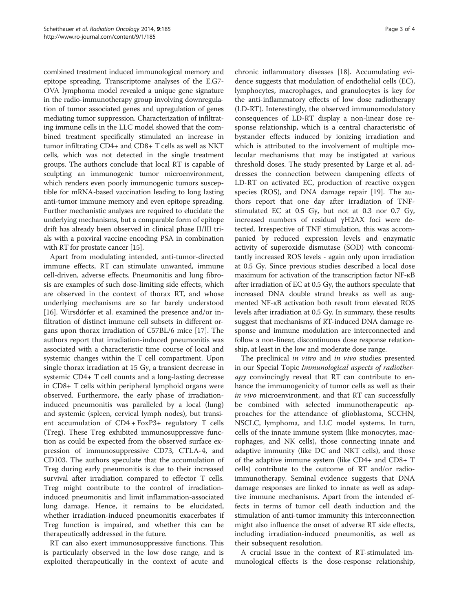combined treatment induced immunological memory and epitope spreading. Transcriptome analyses of the E.G7- OVA lymphoma model revealed a unique gene signature in the radio-immunotherapy group involving downregulation of tumor associated genes and upregulation of genes mediating tumor suppression. Characterization of infiltrating immune cells in the LLC model showed that the combined treatment specifically stimulated an increase in tumor infiltrating CD4+ and CD8+ T cells as well as NKT cells, which was not detected in the single treatment groups. The authors conclude that local RT is capable of sculpting an immunogenic tumor microenvironment, which renders even poorly immunogenic tumors susceptible for mRNA-based vaccination leading to long lasting anti-tumor immune memory and even epitope spreading. Further mechanistic analyses are required to elucidate the underlying mechanisms, but a comparable form of epitope drift has already been observed in clinical phase II/III trials with a poxviral vaccine encoding PSA in combination with RT for prostate cancer [\[15\]](#page-3-0).

Apart from modulating intended, anti-tumor-directed immune effects, RT can stimulate unwanted, immune cell-driven, adverse effects. Pneumonitis and lung fibrosis are examples of such dose-limiting side effects, which are observed in the context of thorax RT, and whose underlying mechanisms are so far barely understood [[16\]](#page-3-0). Wirsdörfer et al. examined the presence and/or infiltration of distinct immune cell subsets in different organs upon thorax irradiation of C57BL/6 mice [[17\]](#page-3-0). The authors report that irradiation-induced pneumonitis was associated with a characteristic time course of local and systemic changes within the T cell compartment. Upon single thorax irradiation at 15 Gy, a transient decrease in systemic CD4+ T cell counts and a long-lasting decrease in CD8+ T cells within peripheral lymphoid organs were observed. Furthermore, the early phase of irradiationinduced pneumonitis was paralleled by a local (lung) and systemic (spleen, cervical lymph nodes), but transient accumulation of CD4 + FoxP3+ regulatory T cells (Treg). These Treg exhibited immunosuppressive function as could be expected from the observed surface expression of immunosuppressive CD73, CTLA-4, and CD103. The authors speculate that the accumulation of Treg during early pneumonitis is due to their increased survival after irradiation compared to effector T cells. Treg might contribute to the control of irradiationinduced pneumonitis and limit inflammation-associated lung damage. Hence, it remains to be elucidated, whether irradiation-induced pneumonitis exacerbates if Treg function is impaired, and whether this can be therapeutically addressed in the future.

RT can also exert immunosuppressive functions. This is particularly observed in the low dose range, and is exploited therapeutically in the context of acute and

chronic inflammatory diseases [\[18\]](#page-3-0). Accumulating evidence suggests that modulation of endothelial cells (EC), lymphocytes, macrophages, and granulocytes is key for the anti-inflammatory effects of low dose radiotherapy (LD-RT). Interestingly, the observed immunomodulatory consequences of LD-RT display a non-linear dose response relationship, which is a central characteristic of bystander effects induced by ionizing irradiation and which is attributed to the involvement of multiple molecular mechanisms that may be instigated at various threshold doses. The study presented by Large et al. addresses the connection between dampening effects of LD-RT on activated EC, production of reactive oxygen species (ROS), and DNA damage repair [\[19](#page-3-0)]. The authors report that one day after irradiation of TNFstimulated EC at 0.5 Gy, but not at 0.3 nor 0.7 Gy, increased numbers of residual γH2AX foci were detected. Irrespective of TNF stimulation, this was accompanied by reduced expression levels and enzymatic activity of superoxide dismutase (SOD) with concomitantly increased ROS levels - again only upon irradiation at 0.5 Gy. Since previous studies described a local dose maximum for activation of the transcription factor NF-κB after irradiation of EC at 0.5 Gy, the authors speculate that increased DNA double strand breaks as well as augmented NF-κB activation both result from elevated ROS levels after irradiation at 0.5 Gy. In summary, these results suggest that mechanisms of RT-induced DNA damage response and immune modulation are interconnected and follow a non-linear, discontinuous dose response relationship, at least in the low and moderate dose range.

The preclinical in vitro and in vivo studies presented in our Special Topic Immunological aspects of radiotherapy convincingly reveal that RT can contribute to enhance the immunogenicity of tumor cells as well as their in vivo microenvironment, and that RT can successfully be combined with selected immunotherapeutic approaches for the attendance of glioblastoma, SCCHN, NSCLC, lymphoma, and LLC model systems. In turn, cells of the innate immune system (like monocytes, macrophages, and NK cells), those connecting innate and adaptive immunity (like DC and NKT cells), and those of the adaptive immune system (like CD4+ and CD8+ T cells) contribute to the outcome of RT and/or radioimmunotherapy. Seminal evidence suggests that DNA damage responses are linked to innate as well as adaptive immune mechanisms. Apart from the intended effects in terms of tumor cell death induction and the stimulation of anti-tumor immunity this interconnection might also influence the onset of adverse RT side effects, including irradiation-induced pneumonitis, as well as their subsequent resolution.

A crucial issue in the context of RT-stimulated immunological effects is the dose-response relationship,